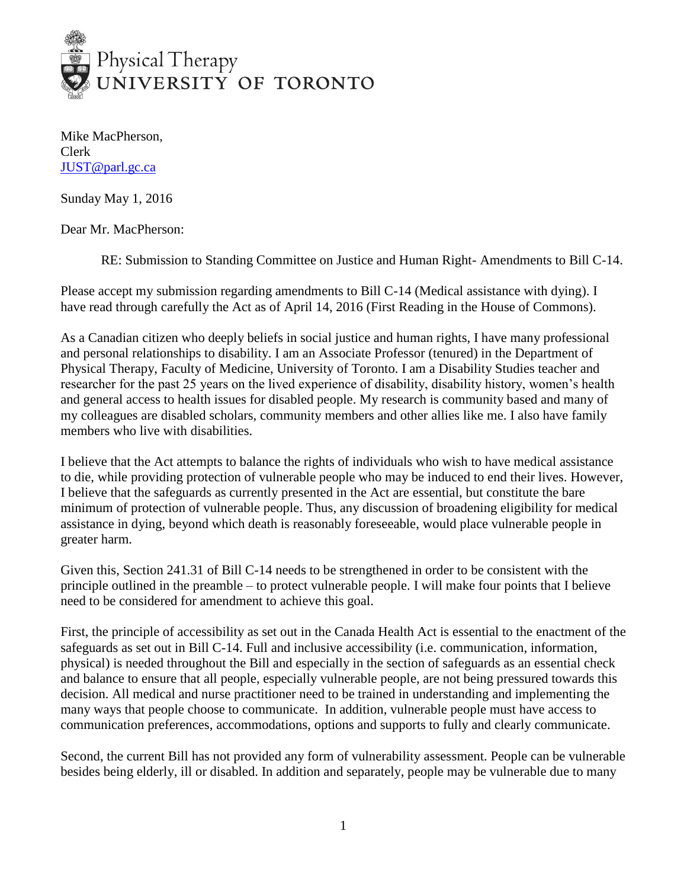

Mike MacPherson, Clerk [JUST@parl.gc.ca](https://mail.med.utoronto.ca/owa/redir.aspx?C=Ap_yKU9nyk6RtjY1oqDITmIaZ6eWd9MI22j6ATwil4mS9pv7lgrk87m8I4SksRSSw5oEAeRR_J8.&URL=mailto%3aJUST%40parl.gc.ca)

Sunday May 1, 2016

Dear Mr. MacPherson:

RE: Submission to Standing Committee on Justice and Human Right- Amendments to Bill C-14.

Please accept my submission regarding amendments to Bill C-14 (Medical assistance with dying). I have read through carefully the Act as of April 14, 2016 (First Reading in the House of Commons).

As a Canadian citizen who deeply beliefs in social justice and human rights, I have many professional and personal relationships to disability. I am an Associate Professor (tenured) in the Department of Physical Therapy, Faculty of Medicine, University of Toronto. I am a Disability Studies teacher and researcher for the past 25 years on the lived experience of disability, disability history, women's health and general access to health issues for disabled people. My research is community based and many of my colleagues are disabled scholars, community members and other allies like me. I also have family members who live with disabilities.

I believe that the Act attempts to balance the rights of individuals who wish to have medical assistance to die, while providing protection of vulnerable people who may be induced to end their lives. However, I believe that the safeguards as currently presented in the Act are essential, but constitute the bare minimum of protection of vulnerable people. Thus, any discussion of broadening eligibility for medical assistance in dying, beyond which death is reasonably foreseeable, would place vulnerable people in greater harm.

Given this, Section 241.31 of Bill C-14 needs to be strengthened in order to be consistent with the principle outlined in the preamble – to protect vulnerable people. I will make four points that I believe need to be considered for amendment to achieve this goal.

First, the principle of accessibility as set out in the Canada Health Act is essential to the enactment of the safeguards as set out in Bill C-14. Full and inclusive accessibility (i.e. communication, information, physical) is needed throughout the Bill and especially in the section of safeguards as an essential check and balance to ensure that all people, especially vulnerable people, are not being pressured towards this decision. All medical and nurse practitioner need to be trained in understanding and implementing the many ways that people choose to communicate. In addition, vulnerable people must have access to communication preferences, accommodations, options and supports to fully and clearly communicate.

Second, the current Bill has not provided any form of vulnerability assessment. People can be vulnerable besides being elderly, ill or disabled. In addition and separately, people may be vulnerable due to many